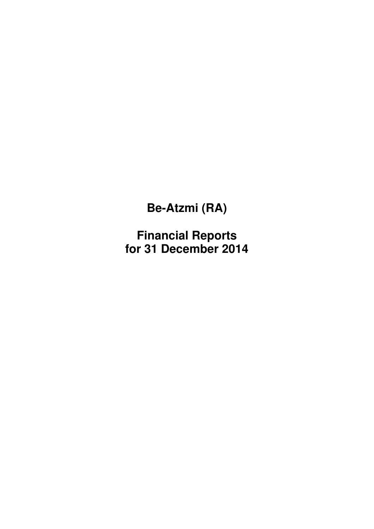**Financial Reports for 31 December 2014**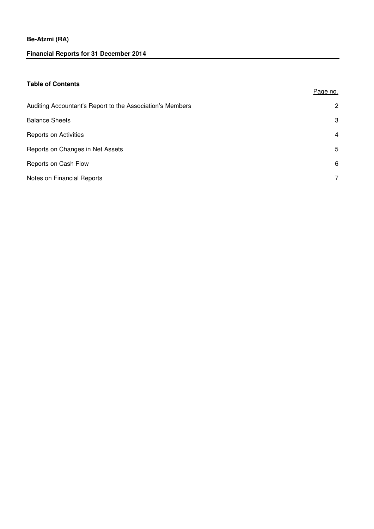# **Financial Reports for 31 December 2014**

## **Table of Contents**

| Auditing Accountant's Report to the Association's Members | 2 |
|-----------------------------------------------------------|---|
| <b>Balance Sheets</b>                                     | 3 |
| <b>Reports on Activities</b>                              | 4 |
| Reports on Changes in Net Assets                          | 5 |
| Reports on Cash Flow                                      | 6 |
| Notes on Financial Reports                                | 7 |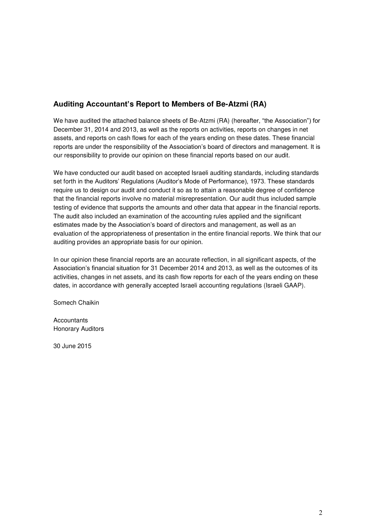# **Auditing Accountant's Report to Members of Be-Atzmi (RA)**

We have audited the attached balance sheets of Be-Atzmi (RA) (hereafter, "the Association") for December 31, 2014 and 2013, as well as the reports on activities, reports on changes in net assets, and reports on cash flows for each of the years ending on these dates. These financial reports are under the responsibility of the Association's board of directors and management. It is our responsibility to provide our opinion on these financial reports based on our audit.

We have conducted our audit based on accepted Israeli auditing standards, including standards set forth in the Auditors' Regulations (Auditor's Mode of Performance), 1973. These standards require us to design our audit and conduct it so as to attain a reasonable degree of confidence that the financial reports involve no material misrepresentation. Our audit thus included sample testing of evidence that supports the amounts and other data that appear in the financial reports. The audit also included an examination of the accounting rules applied and the significant estimates made by the Association's board of directors and management, as well as an evaluation of the appropriateness of presentation in the entire financial reports. We think that our auditing provides an appropriate basis for our opinion.

In our opinion these financial reports are an accurate reflection, in all significant aspects, of the Association's financial situation for 31 December 2014 and 2013, as well as the outcomes of its activities, changes in net assets, and its cash flow reports for each of the years ending on these dates, in accordance with generally accepted Israeli accounting regulations (Israeli GAAP).

Somech Chaikin

**Accountants** Honorary Auditors

30 June 2015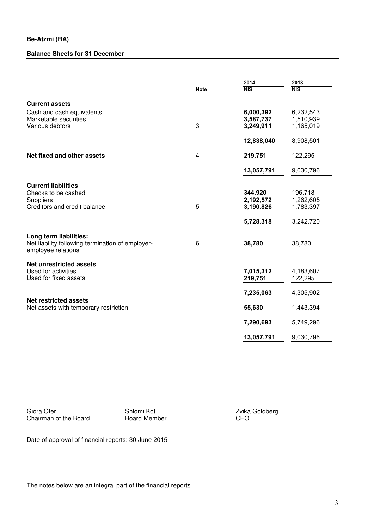## **Balance Sheets for 31 December**

|                                                                       |             | 2014       | 2013       |  |
|-----------------------------------------------------------------------|-------------|------------|------------|--|
|                                                                       | <b>Note</b> | <b>NIS</b> | <b>NIS</b> |  |
| <b>Current assets</b>                                                 |             |            |            |  |
| Cash and cash equivalents                                             |             | 6,000,392  | 6,232,543  |  |
| Marketable securities                                                 |             | 3,587,737  | 1,510,939  |  |
| Various debtors                                                       | 3           | 3,249,911  | 1,165,019  |  |
|                                                                       |             | 12,838,040 | 8,908,501  |  |
| Net fixed and other assets                                            | 4           | 219,751    | 122,295    |  |
|                                                                       |             | 13,057,791 | 9,030,796  |  |
|                                                                       |             |            |            |  |
| <b>Current liabilities</b><br>Checks to be cashed                     |             | 344,920    | 196,718    |  |
| Suppliers                                                             |             | 2,192,572  | 1,262,605  |  |
| Creditors and credit balance                                          | 5           | 3,190,826  | 1,783,397  |  |
|                                                                       |             |            |            |  |
|                                                                       |             | 5,728,318  | 3,242,720  |  |
| Long term liabilities:                                                |             |            |            |  |
| Net liability following termination of employer-                      | 6           | 38,780     | 38,780     |  |
| employee relations                                                    |             |            |            |  |
| <b>Net unrestricted assets</b>                                        |             |            |            |  |
| Used for activities                                                   |             | 7,015,312  | 4,183,607  |  |
| Used for fixed assets                                                 |             | 219,751    | 122,295    |  |
|                                                                       |             | 7,235,063  | 4,305,902  |  |
| <b>Net restricted assets</b><br>Net assets with temporary restriction |             | 55,630     | 1,443,394  |  |
|                                                                       |             | 7,290,693  | 5,749,296  |  |
|                                                                       |             | 13,057,791 | 9,030,796  |  |
|                                                                       |             |            |            |  |

Giora Ofer **Shlomi Kot Chairman of the Board <b>Chairman** Giora Chairman of the Board **CEO** Chairman of the Board

Date of approval of financial reports: 30 June 2015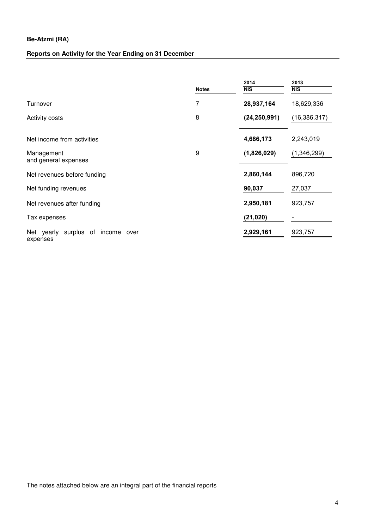# **Reports on Activity for the Year Ending on 31 December**

|                                                        | <b>Notes</b> | 2014<br>$\overline{\text{NIS}}$ | 2013<br>NIS              |
|--------------------------------------------------------|--------------|---------------------------------|--------------------------|
| Turnover                                               | 7            | 28,937,164                      | 18,629,336               |
| <b>Activity costs</b>                                  | 8            | (24, 250, 991)                  | (16, 386, 317)           |
| Net income from activities<br>Management               | 9            | 4,686,173<br>(1,826,029)        | 2,243,019<br>(1,346,299) |
| and general expenses<br>Net revenues before funding    |              | 2,860,144                       | 896,720                  |
| Net funding revenues                                   |              | 90,037                          | 27,037                   |
| Net revenues after funding                             |              | 2,950,181                       | 923,757                  |
| Tax expenses                                           |              | (21, 020)                       |                          |
| surplus<br>Net yearly<br>of income<br>over<br>expenses |              | 2,929,161                       | 923,757                  |

The notes attached below are an integral part of the financial reports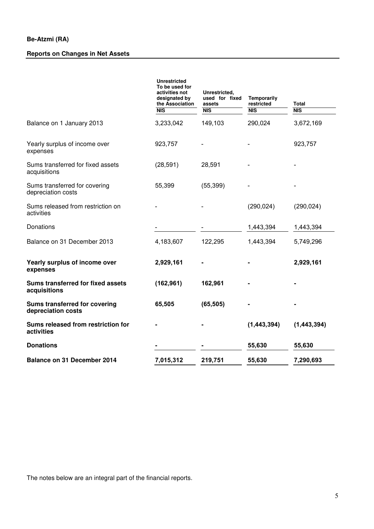# **Reports on Changes in Net Assets**

|                                                     | <b>Unrestricted</b><br>To be used for<br>activities not<br>designated by<br>the Association<br>$\overline{\text{NIS}}$ | Unrestricted,<br>used for fixed<br>assets<br>NIS | <b>Temporarily</b><br>restricted<br>NIS | <b>Total</b><br>NIS |
|-----------------------------------------------------|------------------------------------------------------------------------------------------------------------------------|--------------------------------------------------|-----------------------------------------|---------------------|
| Balance on 1 January 2013                           | 3,233,042                                                                                                              | 149,103                                          | 290,024                                 | 3,672,169           |
| Yearly surplus of income over<br>expenses           | 923,757                                                                                                                |                                                  |                                         | 923,757             |
| Sums transferred for fixed assets<br>acquisitions   | (28, 591)                                                                                                              | 28,591                                           |                                         |                     |
| Sums transferred for covering<br>depreciation costs | 55,399                                                                                                                 | (55, 399)                                        |                                         |                     |
| Sums released from restriction on<br>activities     |                                                                                                                        |                                                  | (290, 024)                              | (290, 024)          |
| Donations                                           |                                                                                                                        |                                                  | 1,443,394                               | 1,443,394           |
| Balance on 31 December 2013                         | 4,183,607                                                                                                              | 122,295                                          | 1,443,394                               | 5,749,296           |
| Yearly surplus of income over<br>expenses           | 2,929,161                                                                                                              |                                                  |                                         | 2,929,161           |
| Sums transferred for fixed assets<br>acquisitions   | (162, 961)                                                                                                             | 162,961                                          |                                         |                     |
| Sums transferred for covering<br>depreciation costs | 65,505                                                                                                                 | (65, 505)                                        |                                         |                     |
| Sums released from restriction for<br>activities    |                                                                                                                        |                                                  | (1, 443, 394)                           | (1, 443, 394)       |
| <b>Donations</b>                                    |                                                                                                                        |                                                  | 55,630                                  | 55,630              |
| Balance on 31 December 2014                         | 7,015,312                                                                                                              | 219,751                                          | 55,630                                  | 7,290,693           |

The notes below are an integral part of the financial reports.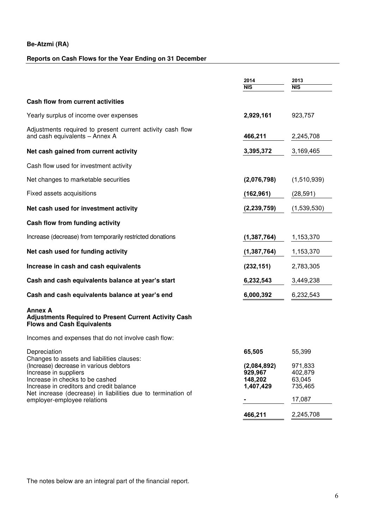# **Reports on Cash Flows for the Year Ending on 31 December**

|                                                                                                                                                | 2014                                           | 2013                                    |
|------------------------------------------------------------------------------------------------------------------------------------------------|------------------------------------------------|-----------------------------------------|
|                                                                                                                                                | <b>NIS</b>                                     | <b>NIS</b>                              |
| <b>Cash flow from current activities</b>                                                                                                       |                                                |                                         |
| Yearly surplus of income over expenses                                                                                                         | 2,929,161                                      | 923,757                                 |
| Adjustments required to present current activity cash flow<br>and cash equivalents - Annex A                                                   | 466,211                                        | 2,245,708                               |
| Net cash gained from current activity                                                                                                          | 3,395,372                                      | 3,169,465                               |
| Cash flow used for investment activity                                                                                                         |                                                |                                         |
| Net changes to marketable securities                                                                                                           | (2,076,798)                                    | (1,510,939)                             |
| Fixed assets acquisitions                                                                                                                      | (162, 961)                                     | (28, 591)                               |
| Net cash used for investment activity                                                                                                          | (2, 239, 759)                                  | (1,539,530)                             |
| Cash flow from funding activity                                                                                                                |                                                |                                         |
| Increase (decrease) from temporarily restricted donations                                                                                      | (1, 387, 764)                                  | 1,153,370                               |
| Net cash used for funding activity                                                                                                             | (1,387,764)                                    | 1,153,370                               |
| Increase in cash and cash equivalents                                                                                                          | (232, 151)                                     | 2,783,305                               |
| Cash and cash equivalents balance at year's start                                                                                              | 6,232,543                                      | 3,449,238                               |
| Cash and cash equivalents balance at year's end                                                                                                | 6,000,392                                      | 6,232,543                               |
| <b>Annex A</b><br><b>Adjustments Required to Present Current Activity Cash</b><br><b>Flows and Cash Equivalents</b>                            |                                                |                                         |
| Incomes and expenses that do not involve cash flow:                                                                                            |                                                |                                         |
| Depreciation<br>Changes to assets and liabilities clauses:                                                                                     | 65,505                                         | 55,399                                  |
| (Increase) decrease in various debtors<br>Increase in suppliers<br>Increase in checks to be cashed<br>Increase in creditors and credit balance | (2,084,892)<br>929,967<br>148,202<br>1,407,429 | 971,833<br>402,879<br>63,045<br>735,465 |
| Net increase (decrease) in liabilities due to termination of<br>employer-employee relations                                                    |                                                | 17,087                                  |
|                                                                                                                                                | 466,211                                        | 2,245,708                               |

The notes below are an integral part of the financial report.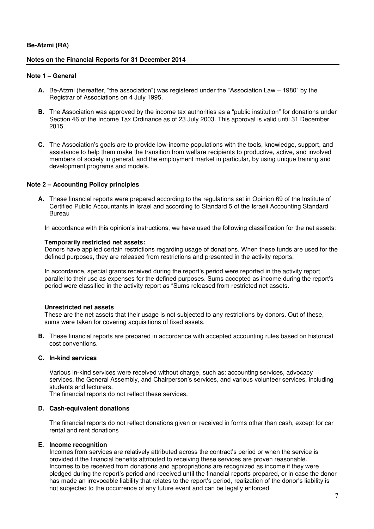#### **Notes on the Financial Reports for 31 December 2014**

#### **Note 1 – General**

- **A.** Be-Atzmi (hereafter, "the association") was registered under the "Association Law 1980" by the Registrar of Associations on 4 July 1995.
- **B.** The Association was approved by the income tax authorities as a "public institution" for donations under Section 46 of the Income Tax Ordinance as of 23 July 2003. This approval is valid until 31 December 2015.
- **C.** The Association's goals are to provide low-income populations with the tools, knowledge, support, and assistance to help them make the transition from welfare recipients to productive, active, and involved members of society in general, and the employment market in particular, by using unique training and development programs and models.

## **Note 2 – Accounting Policy principles**

**A.** These financial reports were prepared according to the regulations set in Opinion 69 of the Institute of Certified Public Accountants in Israel and according to Standard 5 of the Israeli Accounting Standard Bureau

In accordance with this opinion's instructions, we have used the following classification for the net assets:

#### **Temporarily restricted net assets:**

Donors have applied certain restrictions regarding usage of donations. When these funds are used for the defined purposes, they are released from restrictions and presented in the activity reports.

In accordance, special grants received during the report's period were reported in the activity report parallel to their use as expenses for the defined purposes. Sums accepted as income during the report's period were classified in the activity report as "Sums released from restricted net assets.

#### **Unrestricted net assets**

These are the net assets that their usage is not subjected to any restrictions by donors. Out of these, sums were taken for covering acquisitions of fixed assets.

**B.** These financial reports are prepared in accordance with accepted accounting rules based on historical cost conventions.

#### **C. In-kind services**

Various in-kind services were received without charge, such as: accounting services, advocacy services, the General Assembly, and Chairperson's services, and various volunteer services, including students and lecturers.

The financial reports do not reflect these services.

#### **D. Cash-equivalent donations**

The financial reports do not reflect donations given or received in forms other than cash, except for car rental and rent donations

#### **E. Income recognition**

Incomes from services are relatively attributed across the contract's period or when the service is provided if the financial benefits attributed to receiving these services are proven reasonable. Incomes to be received from donations and appropriations are recognized as income if they were pledged during the report's period and received until the financial reports prepared, or in case the donor has made an irrevocable liability that relates to the report's period, realization of the donor's liability is not subjected to the occurrence of any future event and can be legally enforced.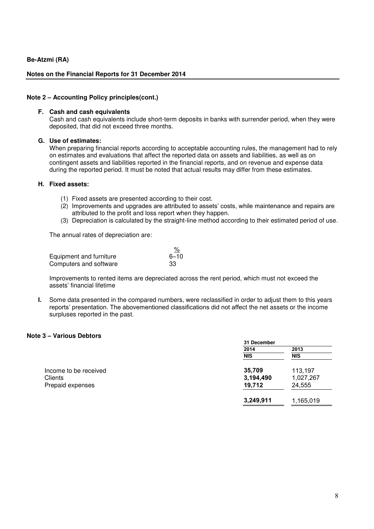## **Notes on the Financial Reports for 31 December 2014**

#### **Note 2 – Accounting Policy principles(cont.)**

#### **F. Cash and cash equivalents**

Cash and cash equivalents include short-term deposits in banks with surrender period, when they were deposited, that did not exceed three months.

#### **G. Use of estimates:**

When preparing financial reports according to acceptable accounting rules, the management had to rely on estimates and evaluations that affect the reported data on assets and liabilities, as well as on contingent assets and liabilities reported in the financial reports, and on revenue and expense data during the reported period. It must be noted that actual results may differ from these estimates.

#### **H. Fixed assets:**

- (1) Fixed assets are presented according to their cost.
- (2) Improvements and upgrades are attributed to assets' costs, while maintenance and repairs are attributed to the profit and loss report when they happen.
- (3) Depreciation is calculated by the straight-line method according to their estimated period of use.

The annual rates of depreciation are:

| Equipment and furniture | $6 - 10$ |
|-------------------------|----------|
| Computers and software  | -33      |

Improvements to rented items are depreciated across the rent period, which must not exceed the assets' financial lifetime

**I.** Some data presented in the compared numbers, were reclassified in order to adjust them to this years reports' presentation. The abovementioned classifications did not affect the net assets or the income surpluses reported in the past.

## **Note 3 – Various Debtors**

|                       | 31 December |           |  |
|-----------------------|-------------|-----------|--|
|                       | 2014        | 2013      |  |
|                       | <b>NIS</b>  | NIS       |  |
| Income to be received | 35,709      | 113,197   |  |
| <b>Clients</b>        | 3,194,490   | 1,027,267 |  |
| Prepaid expenses      | 19,712      | 24,555    |  |
|                       | 3,249,911   | 1,165,019 |  |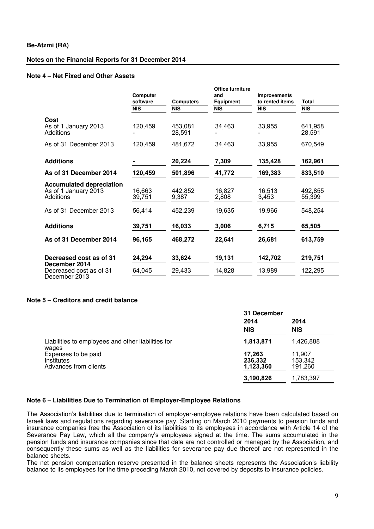## **Notes on the Financial Reports for 31 December 2014**

#### **Note 4 – Net Fixed and Other Assets**

|                                                                      | Computer<br>software<br><b>NIS</b> | <b>Computers</b><br><b>NIS</b> | Office furniture<br>and<br>Equipment<br><b>NIS</b> | <b>Improvements</b><br>to rented items<br><b>NIS</b> | <b>Total</b><br><b>NIS</b> |
|----------------------------------------------------------------------|------------------------------------|--------------------------------|----------------------------------------------------|------------------------------------------------------|----------------------------|
| Cost<br>As of 1 January 2013<br>Additions                            | 120,459                            | 453,081<br>28,591              | 34,463                                             | 33,955                                               | 641,958<br>28,591          |
| As of 31 December 2013                                               | 120,459                            | 481,672                        | 34,463                                             | 33,955                                               | 670,549                    |
| <b>Additions</b>                                                     |                                    | 20,224                         | 7,309                                              | 135,428                                              | 162,961                    |
| As of 31 December 2014                                               | 120,459                            | 501,896                        | 41,772                                             | 169,383                                              | 833,510                    |
| <b>Accumulated depreciation</b><br>As of 1 January 2013<br>Additions | 16,663<br>39,751                   | 442,852<br>9,387               | 16,827<br>2,808                                    | 16,513<br>3,453                                      | 492,855<br>55,399          |
| As of 31 December 2013                                               | 56,414                             | 452,239                        | 19,635                                             | 19,966                                               | 548,254                    |
| <b>Additions</b>                                                     | 39,751                             | 16,033                         | 3,006                                              | 6,715                                                | 65,505                     |
| As of 31 December 2014                                               | 96,165                             | 468,272                        | 22,641                                             | 26,681                                               | 613,759                    |
| Decreased cost as of 31<br>December 2014                             | 24,294                             | 33,624                         | 19,131                                             | 142,702                                              | 219,751                    |
| Decreased cost as of 31<br>December 2013                             | 64,045                             | 29,433                         | 14,828                                             | 13,989                                               | 122,295                    |

## **Note 5 – Creditors and credit balance**

|                                                                   | 31 December                    |                              |  |
|-------------------------------------------------------------------|--------------------------------|------------------------------|--|
|                                                                   | 2014                           | 2014                         |  |
|                                                                   | <b>NIS</b>                     | <b>NIS</b>                   |  |
| Liabilities to employees and other liabilities for<br>wages       | 1,813,871                      | 1,426,888                    |  |
| Expenses to be paid<br><b>Institutes</b><br>Advances from clients | 17,263<br>236,332<br>1,123,360 | 11,907<br>153,342<br>191,260 |  |
|                                                                   | 3,190,826                      | 1,783,397                    |  |

#### **Note 6 – Liabilities Due to Termination of Employer-Employee Relations**

The Association's liabilities due to termination of employer-employee relations have been calculated based on Israeli laws and regulations regarding severance pay. Starting on March 2010 payments to pension funds and insurance companies free the Association of its liabilities to its employees in accordance with Article 14 of the Severance Pay Law, which all the company's employees signed at the time. The sums accumulated in the pension funds and insurance companies since that date are not controlled or managed by the Association, and consequently these sums as well as the liabilities for severance pay due thereof are not represented in the balance sheets.

The net pension compensation reserve presented in the balance sheets represents the Association's liability balance to its employees for the time preceding March 2010, not covered by deposits to insurance policies.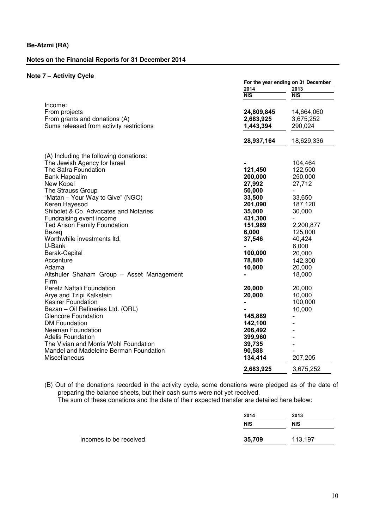### **Notes on the Financial Reports for 31 December 2014**

## **Note 7 – Activity Cycle**

|                                                                                                       | For the year ending on 31 December   |                                    |  |
|-------------------------------------------------------------------------------------------------------|--------------------------------------|------------------------------------|--|
|                                                                                                       | 2014                                 | 2013                               |  |
|                                                                                                       | <b>NIS</b>                           | <b>NIS</b>                         |  |
| Income:<br>From projects<br>From grants and donations (A)<br>Sums released from activity restrictions | 24,809,845<br>2,683,925<br>1,443,394 | 14,664,060<br>3,675,252<br>290,024 |  |
|                                                                                                       | 28,937,164                           | 18,629,336                         |  |
| (A) Including the following donations:                                                                |                                      |                                    |  |
| The Jewish Agency for Israel                                                                          |                                      | 104,464                            |  |
| The Safra Foundation                                                                                  | 121,450                              | 122,500                            |  |
| <b>Bank Hapoalim</b>                                                                                  | 200,000                              | 250,000                            |  |
| New Kopel                                                                                             | 27,992                               | 27,712                             |  |
| The Strauss Group                                                                                     | 50,000                               |                                    |  |
| "Matan - Your Way to Give" (NGO)                                                                      | 33,500                               | 33,650                             |  |
| Keren Hayesod                                                                                         | 201,090                              | 187,120                            |  |
| Shibolet & Co. Advocates and Notaries                                                                 | 35,000                               | 30,000                             |  |
| Fundraising event income                                                                              | 431,300                              |                                    |  |
| <b>Ted Arison Family Foundation</b>                                                                   | 151,989                              | 2,200,877                          |  |
| Bezeg                                                                                                 | 6,000                                | 125,000                            |  |
| Worthwhile investments ltd.                                                                           | 37,546                               | 40,424                             |  |
| U-Bank                                                                                                |                                      | 6,000                              |  |
| Barak-Capital                                                                                         | 100,000                              | 20,000                             |  |
| Accenture                                                                                             | 78,880                               | 142,300                            |  |
| Adama                                                                                                 | 10,000                               | 20,000                             |  |
| Altshuler Shaham Group - Asset Management<br>Firm                                                     |                                      | 18,000                             |  |
| Peretz Naftali Foundation                                                                             | 20,000                               | 20,000                             |  |
| Arye and Tzipi Kalkstein                                                                              | 20,000                               | 10,000                             |  |
| <b>Kasirer Foundation</b>                                                                             |                                      | 100,000                            |  |
| Bazan - Oil Refineries Ltd. (ORL)                                                                     |                                      | 10,000                             |  |
| <b>Glencore Foundation</b>                                                                            | 145,889                              |                                    |  |
| <b>DM Foundation</b>                                                                                  | 142,100                              |                                    |  |
| Neeman Foundation                                                                                     | 206,492                              |                                    |  |
| <b>Adelis Foundation</b>                                                                              | 399,960                              |                                    |  |
| The Vivian and Morris Wohl Foundation                                                                 | 39,735                               |                                    |  |
| Mandel and Madeleine Berman Foundation                                                                | 90,588                               |                                    |  |
| Miscellaneous                                                                                         | 134,414                              | 207,205                            |  |
|                                                                                                       | 2,683,925                            | 3,675,252                          |  |
|                                                                                                       |                                      |                                    |  |

(B) Out of the donations recorded in the activity cycle, some donations were pledged as of the date of preparing the balance sheets, but their cash sums were not yet received.

The sum of these donations and the date of their expected transfer are detailed here below:

|                        | 2014       | 2013       |  |
|------------------------|------------|------------|--|
|                        | <b>NIS</b> | <b>NIS</b> |  |
| Incomes to be received | 35,709     | 113,197    |  |